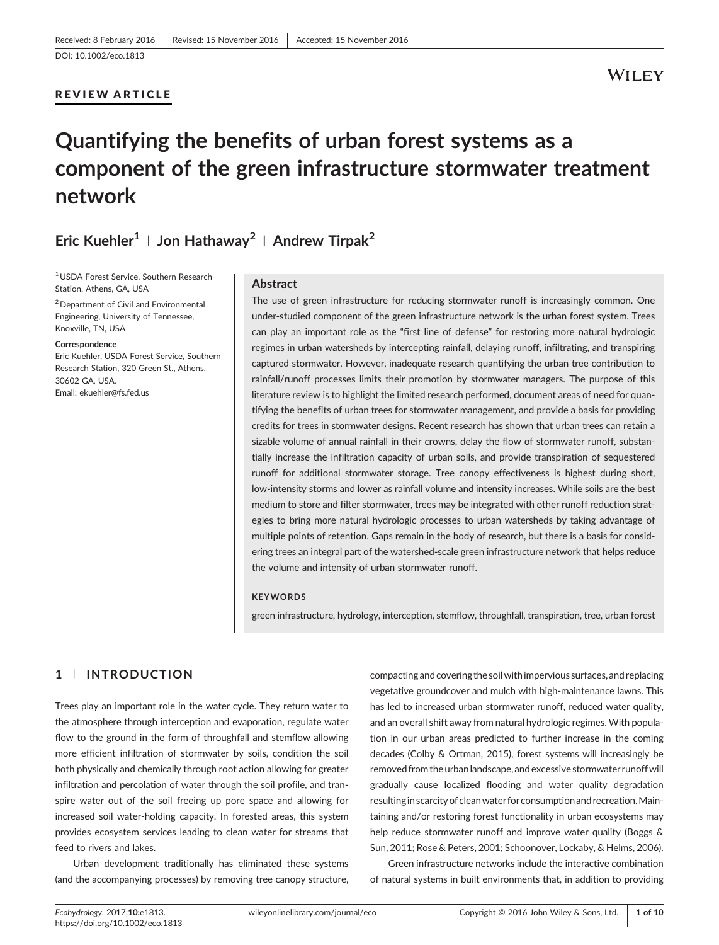# Quantifying the benefits of urban forest systems as a component of the green infrastructure stormwater treatment network

## Eric Kuehler<sup>1</sup> | Jon Hathaway<sup>2</sup> | Andrew Tirpak<sup>2</sup>

1USDA Forest Service, Southern Research Station, Athens, GA, USA

2Department of Civil and Environmental Engineering, University of Tennessee, Knoxville, TN, USA

#### **Correspondence**

Eric Kuehler, USDA Forest Service, Southern Research Station, 320 Green St., Athens, 30602 GA, USA. Email: [ekuehler@fs.fed.us](mailto:ekuehler@fs.fed.us)

#### Abstract

The use of green infrastructure for reducing stormwater runoff is increasingly common. One under‐studied component of the green infrastructure network is the urban forest system. Trees can play an important role as the "first line of defense" for restoring more natural hydrologic regimes in urban watersheds by intercepting rainfall, delaying runoff, infiltrating, and transpiring captured stormwater. However, inadequate research quantifying the urban tree contribution to rainfall/runoff processes limits their promotion by stormwater managers. The purpose of this literature review is to highlight the limited research performed, document areas of need for quantifying the benefits of urban trees for stormwater management, and provide a basis for providing credits for trees in stormwater designs. Recent research has shown that urban trees can retain a sizable volume of annual rainfall in their crowns, delay the flow of stormwater runoff, substantially increase the infiltration capacity of urban soils, and provide transpiration of sequestered runoff for additional stormwater storage. Tree canopy effectiveness is highest during short, low-intensity storms and lower as rainfall volume and intensity increases. While soils are the best medium to store and filter stormwater, trees may be integrated with other runoff reduction strategies to bring more natural hydrologic processes to urban watersheds by taking advantage of multiple points of retention. Gaps remain in the body of research, but there is a basis for considering trees an integral part of the watershed‐scale green infrastructure network that helps reduce the volume and intensity of urban stormwater runoff.

#### **KEYWORDS**

green infrastructure, hydrology, interception, stemflow, throughfall, transpiration, tree, urban forest

#### 1 | INTRODUCTION

Trees play an important role in the water cycle. They return water to the atmosphere through interception and evaporation, regulate water flow to the ground in the form of throughfall and stemflow allowing more efficient infiltration of stormwater by soils, condition the soil both physically and chemically through root action allowing for greater infiltration and percolation of water through the soil profile, and transpire water out of the soil freeing up pore space and allowing for increased soil water-holding capacity. In forested areas, this system provides ecosystem services leading to clean water for streams that feed to rivers and lakes.

Urban development traditionally has eliminated these systems (and the accompanying processes) by removing tree canopy structure, compacting and covering the soil with impervious surfaces, and replacing vegetative groundcover and mulch with high‐maintenance lawns. This has led to increased urban stormwater runoff, reduced water quality, and an overall shift away from natural hydrologic regimes. With population in our urban areas predicted to further increase in the coming decades (Colby & Ortman, 2015), forest systems will increasingly be removed from the urban landscape, and excessive stormwater runoffwill gradually cause localized flooding and water quality degradation resulting in scarcity of clean water for consumption and recreation. Maintaining and/or restoring forest functionality in urban ecosystems may help reduce stormwater runoff and improve water quality (Boggs & Sun, 2011; Rose & Peters, 2001; Schoonover, Lockaby, & Helms, 2006).

Green infrastructure networks include the interactive combination of natural systems in built environments that, in addition to providing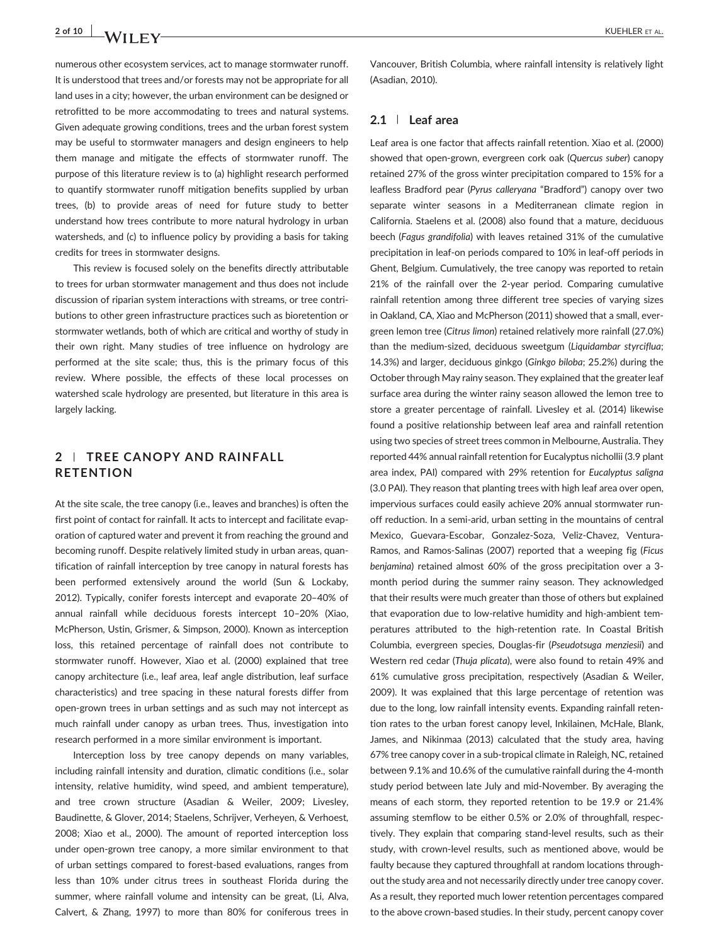numerous other ecosystem services, act to manage stormwater runoff. It is understood that trees and/or forests may not be appropriate for all land uses in a city; however, the urban environment can be designed or retrofitted to be more accommodating to trees and natural systems. Given adequate growing conditions, trees and the urban forest system may be useful to stormwater managers and design engineers to help them manage and mitigate the effects of stormwater runoff. The purpose of this literature review is to (a) highlight research performed to quantify stormwater runoff mitigation benefits supplied by urban trees, (b) to provide areas of need for future study to better understand how trees contribute to more natural hydrology in urban watersheds, and (c) to influence policy by providing a basis for taking credits for trees in stormwater designs.

This review is focused solely on the benefits directly attributable to trees for urban stormwater management and thus does not include discussion of riparian system interactions with streams, or tree contributions to other green infrastructure practices such as bioretention or stormwater wetlands, both of which are critical and worthy of study in their own right. Many studies of tree influence on hydrology are performed at the site scale; thus, this is the primary focus of this review. Where possible, the effects of these local processes on watershed scale hydrology are presented, but literature in this area is largely lacking.

#### 2 | TREE CANOPY AND RAINFALL RETENTION

At the site scale, the tree canopy (i.e., leaves and branches) is often the first point of contact for rainfall. It acts to intercept and facilitate evaporation of captured water and prevent it from reaching the ground and becoming runoff. Despite relatively limited study in urban areas, quantification of rainfall interception by tree canopy in natural forests has been performed extensively around the world (Sun & Lockaby, 2012). Typically, conifer forests intercept and evaporate 20–40% of annual rainfall while deciduous forests intercept 10–20% (Xiao, McPherson, Ustin, Grismer, & Simpson, 2000). Known as interception loss, this retained percentage of rainfall does not contribute to stormwater runoff. However, Xiao et al. (2000) explained that tree canopy architecture (i.e., leaf area, leaf angle distribution, leaf surface characteristics) and tree spacing in these natural forests differ from open‐grown trees in urban settings and as such may not intercept as much rainfall under canopy as urban trees. Thus, investigation into research performed in a more similar environment is important.

Interception loss by tree canopy depends on many variables, including rainfall intensity and duration, climatic conditions (i.e., solar intensity, relative humidity, wind speed, and ambient temperature), and tree crown structure (Asadian & Weiler, 2009; Livesley, Baudinette, & Glover, 2014; Staelens, Schrijver, Verheyen, & Verhoest, 2008; Xiao et al., 2000). The amount of reported interception loss under open‐grown tree canopy, a more similar environment to that of urban settings compared to forest-based evaluations, ranges from less than 10% under citrus trees in southeast Florida during the summer, where rainfall volume and intensity can be great, (Li, Alva, Calvert, & Zhang, 1997) to more than 80% for coniferous trees in Vancouver, British Columbia, where rainfall intensity is relatively light (Asadian, 2010).

#### 2.1 | Leaf area

Leaf area is one factor that affects rainfall retention. Xiao et al. (2000) showed that open‐grown, evergreen cork oak (Quercus suber) canopy retained 27% of the gross winter precipitation compared to 15% for a leafless Bradford pear (Pyrus calleryana "Bradford") canopy over two separate winter seasons in a Mediterranean climate region in California. Staelens et al. (2008) also found that a mature, deciduous beech (Fagus grandifolia) with leaves retained 31% of the cumulative precipitation in leaf‐on periods compared to 10% in leaf‐off periods in Ghent, Belgium. Cumulatively, the tree canopy was reported to retain 21% of the rainfall over the 2‐year period. Comparing cumulative rainfall retention among three different tree species of varying sizes in Oakland, CA, Xiao and McPherson (2011) showed that a small, evergreen lemon tree (Citrus limon) retained relatively more rainfall (27.0%) than the medium-sized, deciduous sweetgum (Liquidambar styrciflua; 14.3%) and larger, deciduous ginkgo (Ginkgo biloba; 25.2%) during the October through May rainy season. They explained that the greater leaf surface area during the winter rainy season allowed the lemon tree to store a greater percentage of rainfall. Livesley et al. (2014) likewise found a positive relationship between leaf area and rainfall retention using two species of street trees common in Melbourne, Australia. They reported 44% annual rainfall retention for Eucalyptus nichollii (3.9 plant area index, PAI) compared with 29% retention for Eucalyptus saligna (3.0 PAI). They reason that planting trees with high leaf area over open, impervious surfaces could easily achieve 20% annual stormwater runoff reduction. In a semi‐arid, urban setting in the mountains of central Mexico, Guevara‐Escobar, Gonzalez‐Soza, Veliz‐Chavez, Ventura‐ Ramos, and Ramos‐Salinas (2007) reported that a weeping fig (Ficus benjamina) retained almost 60% of the gross precipitation over a 3‐ month period during the summer rainy season. They acknowledged that their results were much greater than those of others but explained that evaporation due to low‐relative humidity and high‐ambient temperatures attributed to the high-retention rate. In Coastal British Columbia, evergreen species, Douglas‐fir (Pseudotsuga menziesii) and Western red cedar (Thuja plicata), were also found to retain 49% and 61% cumulative gross precipitation, respectively (Asadian & Weiler, 2009). It was explained that this large percentage of retention was due to the long, low rainfall intensity events. Expanding rainfall retention rates to the urban forest canopy level, Inkilainen, McHale, Blank, James, and Nikinmaa (2013) calculated that the study area, having 67% tree canopy cover in a sub‐tropical climate in Raleigh, NC, retained between 9.1% and 10.6% of the cumulative rainfall during the 4‐month study period between late July and mid‐November. By averaging the means of each storm, they reported retention to be 19.9 or 21.4% assuming stemflow to be either 0.5% or 2.0% of throughfall, respectively. They explain that comparing stand‐level results, such as their study, with crown‐level results, such as mentioned above, would be faulty because they captured throughfall at random locations throughout the study area and not necessarily directly under tree canopy cover. As a result, they reported much lower retention percentages compared to the above crown‐based studies. In their study, percent canopy cover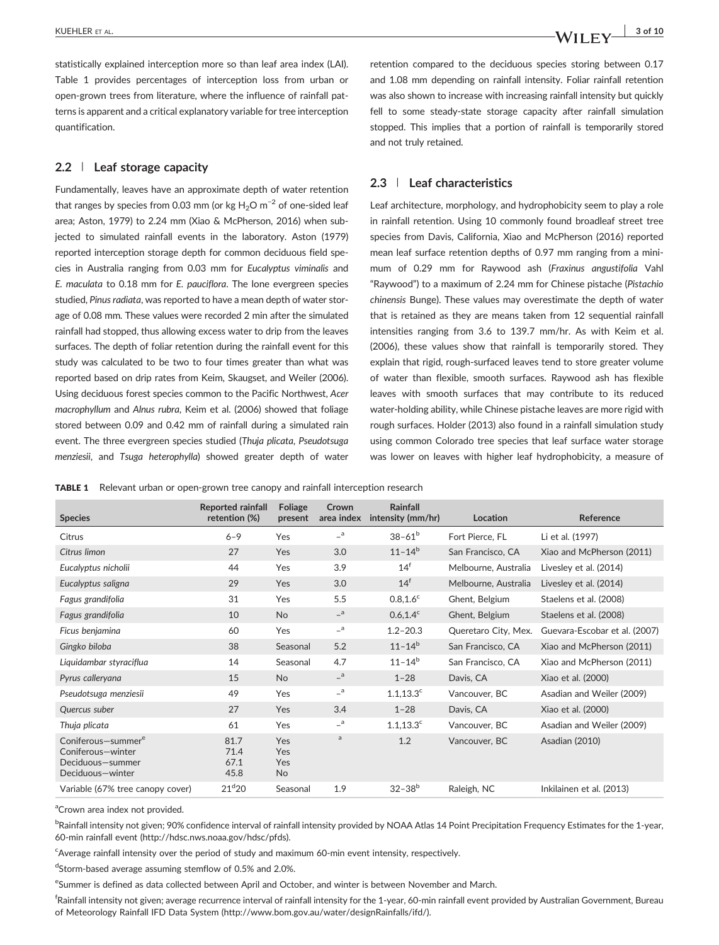statistically explained interception more so than leaf area index (LAI). Table 1 provides percentages of interception loss from urban or open‐grown trees from literature, where the influence of rainfall patterns is apparent and a critical explanatory variable for tree interception quantification.

#### 2.2 | Leaf storage capacity

Fundamentally, leaves have an approximate depth of water retention that ranges by species from 0.03 mm (or kg H<sub>2</sub>O m<sup>-2</sup> of one-sided leaf area; Aston, 1979) to 2.24 mm (Xiao & McPherson, 2016) when subjected to simulated rainfall events in the laboratory. Aston (1979) reported interception storage depth for common deciduous field species in Australia ranging from 0.03 mm for Eucalyptus viminalis and E. maculata to 0.18 mm for E. pauciflora. The lone evergreen species studied, Pinus radiata, was reported to have a mean depth of water storage of 0.08 mm. These values were recorded 2 min after the simulated rainfall had stopped, thus allowing excess water to drip from the leaves surfaces. The depth of foliar retention during the rainfall event for this study was calculated to be two to four times greater than what was reported based on drip rates from Keim, Skaugset, and Weiler (2006). Using deciduous forest species common to the Pacific Northwest, Acer macrophyllum and Alnus rubra, Keim et al. (2006) showed that foliage stored between 0.09 and 0.42 mm of rainfall during a simulated rain event. The three evergreen species studied (Thuja plicata, Pseudotsuga menziesii, and Tsuga heterophylla) showed greater depth of water retention compared to the deciduous species storing between 0.17 and 1.08 mm depending on rainfall intensity. Foliar rainfall retention was also shown to increase with increasing rainfall intensity but quickly fell to some steady‐state storage capacity after rainfall simulation stopped. This implies that a portion of rainfall is temporarily stored and not truly retained.

#### 2.3 | Leaf characteristics

Leaf architecture, morphology, and hydrophobicity seem to play a role in rainfall retention. Using 10 commonly found broadleaf street tree species from Davis, California, Xiao and McPherson (2016) reported mean leaf surface retention depths of 0.97 mm ranging from a minimum of 0.29 mm for Raywood ash (Fraxinus angustifolia Vahl "Raywood") to a maximum of 2.24 mm for Chinese pistache (Pistachio chinensis Bunge). These values may overestimate the depth of water that is retained as they are means taken from 12 sequential rainfall intensities ranging from 3.6 to 139.7 mm/hr. As with Keim et al. (2006), these values show that rainfall is temporarily stored. They explain that rigid, rough‐surfaced leaves tend to store greater volume of water than flexible, smooth surfaces. Raywood ash has flexible leaves with smooth surfaces that may contribute to its reduced water-holding ability, while Chinese pistache leaves are more rigid with rough surfaces. Holder (2013) also found in a rainfall simulation study using common Colorado tree species that leaf surface water storage was lower on leaves with higher leaf hydrophobicity, a measure of

**TABLE 1** Relevant urban or open-grown tree canopy and rainfall interception research

| <b>Species</b>                                                                              | <b>Reported rainfall</b><br>retention (%) | Foliage<br>present             | Crown<br>area index | Rainfall<br>intensity (mm/hr) | Location             | Reference                     |
|---------------------------------------------------------------------------------------------|-------------------------------------------|--------------------------------|---------------------|-------------------------------|----------------------|-------------------------------|
| Citrus                                                                                      | $6 - 9$                                   | Yes                            | a                   | $38 - 61^{b}$                 | Fort Pierce, FL      | Li et al. (1997)              |
| Citrus limon                                                                                | 27                                        | Yes                            | 3.0                 | $11 - 14^{b}$                 | San Francisco, CA    | Xiao and McPherson (2011)     |
| Eucalyptus nicholii                                                                         | 44                                        | Yes                            | 3.9                 | $14^f$                        | Melbourne, Australia | Livesley et al. (2014)        |
| Eucalyptus saligna                                                                          | 29                                        | Yes                            | 3.0                 | $14^f$                        | Melbourne, Australia | Livesley et al. (2014)        |
| Fagus grandifolia                                                                           | 31                                        | Yes                            | 5.5                 | $0.8, 1.6^c$                  | Ghent, Belgium       | Staelens et al. (2008)        |
| Fagus grandifolia                                                                           | 10                                        | No                             | $-{}^a$             | $0.6, 1.4^c$                  | Ghent, Belgium       | Staelens et al. (2008)        |
| Ficus benjamina                                                                             | 60                                        | Yes                            | $-$ a               | $1.2 - 20.3$                  | Queretaro City, Mex. | Guevara-Escobar et al. (2007) |
| Gingko biloba                                                                               | 38                                        | Seasonal                       | 5.2                 | $11 - 14^{b}$                 | San Francisco, CA    | Xiao and McPherson (2011)     |
| Liquidambar styraciflua                                                                     | 14                                        | Seasonal                       | 4.7                 | $11 - 14^{b}$                 | San Francisco, CA    | Xiao and McPherson (2011)     |
| Pyrus calleryana                                                                            | 15                                        | <b>No</b>                      | $a^2$               | $1 - 28$                      | Davis, CA            | Xiao et al. (2000)            |
| Pseudotsuga menziesii                                                                       | 49                                        | Yes                            | $a =$               | $1.1, 13.3$ <sup>c</sup>      | Vancouver, BC        | Asadian and Weiler (2009)     |
| Quercus suber                                                                               | 27                                        | Yes                            | 3.4                 | $1 - 28$                      | Davis, CA            | Xiao et al. (2000)            |
| Thuja plicata                                                                               | 61                                        | Yes                            | $-{}^a$             | $1.1,13.3^c$                  | Vancouver, BC        | Asadian and Weiler (2009)     |
| Coniferous-summer <sup>e</sup><br>Coniferous-winter<br>Deciduous-summer<br>Deciduous-winter | 81.7<br>71.4<br>67.1<br>45.8              | Yes<br>Yes<br>Yes<br><b>No</b> | a                   | 1.2                           | Vancouver, BC        | Asadian (2010)                |
| Variable (67% tree canopy cover)                                                            | 21 <sup>d</sup> 20                        | Seasonal                       | 1.9                 | $32 - 38^{b}$                 | Raleigh, NC          | Inkilainen et al. (2013)      |

<sup>a</sup>Crown area index not provided.

b<br>Painfall intensity not given; 90% confidence interval of rainfall intensity provided by NOAA Atlas 14 Point Precipitation Frequency Estimates for the 1-year, 60‐min rainfall event [\(http://hdsc.nws.noaa.gov/hdsc/pfds](https://doi.org/10.1002/eco.1813)).

<sup>c</sup>Average rainfall intensity over the period of study and maximum 60-min event intensity, respectively.

dStorm-based average assuming stemflow of 0.5% and 2.0%.

e Summer is defined as data collected between April and October, and winter is between November and March.

f Rainfall intensity not given; average recurrence interval of rainfall intensity for the 1‐year, 60‐min rainfall event provided by Australian Government, Bureau of Meteorology Rainfall IFD Data System [\(http://www.bom.gov.au/water/designRainfalls/ifd/\)](http://www.bom.gov.au/water/designRainfalls/ifd/).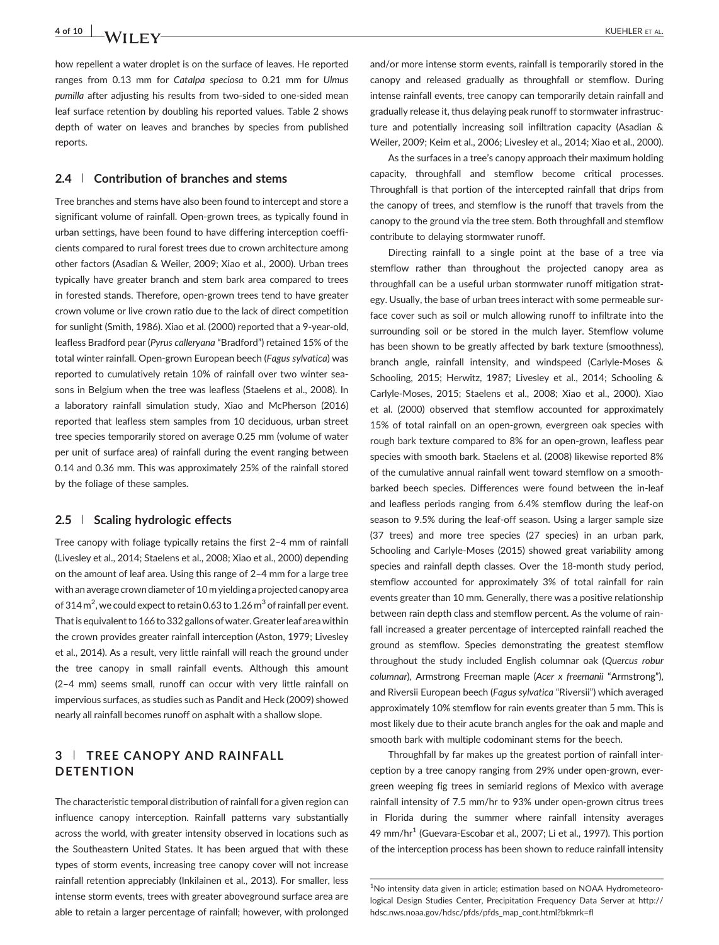4 of 10 **XA/TT TEX/** KUEHLER ET AL.

how repellent a water droplet is on the surface of leaves. He reported ranges from 0.13 mm for Catalpa speciosa to 0.21 mm for Ulmus pumilla after adjusting his results from two-sided to one-sided mean leaf surface retention by doubling his reported values. Table 2 shows depth of water on leaves and branches by species from published reports.

#### 2.4 Contribution of branches and stems

Tree branches and stems have also been found to intercept and store a significant volume of rainfall. Open-grown trees, as typically found in urban settings, have been found to have differing interception coefficients compared to rural forest trees due to crown architecture among other factors (Asadian & Weiler, 2009; Xiao et al., 2000). Urban trees typically have greater branch and stem bark area compared to trees in forested stands. Therefore, open‐grown trees tend to have greater crown volume or live crown ratio due to the lack of direct competition for sunlight (Smith, 1986). Xiao et al. (2000) reported that a 9‐year‐old, leafless Bradford pear (Pyrus calleryana "Bradford") retained 15% of the total winter rainfall. Open‐grown European beech (Fagus sylvatica) was reported to cumulatively retain 10% of rainfall over two winter seasons in Belgium when the tree was leafless (Staelens et al., 2008). In a laboratory rainfall simulation study, Xiao and McPherson (2016) reported that leafless stem samples from 10 deciduous, urban street tree species temporarily stored on average 0.25 mm (volume of water per unit of surface area) of rainfall during the event ranging between 0.14 and 0.36 mm. This was approximately 25% of the rainfall stored by the foliage of these samples.

#### 2.5 | Scaling hydrologic effects

Tree canopy with foliage typically retains the first 2–4 mm of rainfall (Livesley et al., 2014; Staelens et al., 2008; Xiao et al., 2000) depending on the amount of leaf area. Using this range of 2–4 mm for a large tree with an average crown diameter of 10 m yielding a projected canopy area of 314  $\text{m}^2$ , we could expect to retain 0.63 to 1.26  $\text{m}^3$  of rainfall per event. That is equivalent to 166 to 332 gallons of water. Greater leaf area within the crown provides greater rainfall interception (Aston, 1979; Livesley et al., 2014). As a result, very little rainfall will reach the ground under the tree canopy in small rainfall events. Although this amount (2–4 mm) seems small, runoff can occur with very little rainfall on impervious surfaces, as studies such as Pandit and Heck (2009) showed nearly all rainfall becomes runoff on asphalt with a shallow slope.

### 3 | TREE CANOPY AND RAINFALL **DETENTION**

The characteristic temporal distribution of rainfall for a given region can influence canopy interception. Rainfall patterns vary substantially across the world, with greater intensity observed in locations such as the Southeastern United States. It has been argued that with these types of storm events, increasing tree canopy cover will not increase rainfall retention appreciably (Inkilainen et al., 2013). For smaller, less intense storm events, trees with greater aboveground surface area are able to retain a larger percentage of rainfall; however, with prolonged and/or more intense storm events, rainfall is temporarily stored in the canopy and released gradually as throughfall or stemflow. During intense rainfall events, tree canopy can temporarily detain rainfall and gradually release it, thus delaying peak runoff to stormwater infrastructure and potentially increasing soil infiltration capacity (Asadian & Weiler, 2009; Keim et al., 2006; Livesley et al., 2014; Xiao et al., 2000).

As the surfaces in a tree's canopy approach their maximum holding capacity, throughfall and stemflow become critical processes. Throughfall is that portion of the intercepted rainfall that drips from the canopy of trees, and stemflow is the runoff that travels from the canopy to the ground via the tree stem. Both throughfall and stemflow contribute to delaying stormwater runoff.

Directing rainfall to a single point at the base of a tree via stemflow rather than throughout the projected canopy area as throughfall can be a useful urban stormwater runoff mitigation strategy. Usually, the base of urban trees interact with some permeable surface cover such as soil or mulch allowing runoff to infiltrate into the surrounding soil or be stored in the mulch layer. Stemflow volume has been shown to be greatly affected by bark texture (smoothness), branch angle, rainfall intensity, and windspeed (Carlyle‐Moses & Schooling, 2015; Herwitz, 1987; Livesley et al., 2014; Schooling & Carlyle‐Moses, 2015; Staelens et al., 2008; Xiao et al., 2000). Xiao et al. (2000) observed that stemflow accounted for approximately 15% of total rainfall on an open‐grown, evergreen oak species with rough bark texture compared to 8% for an open‐grown, leafless pear species with smooth bark. Staelens et al. (2008) likewise reported 8% of the cumulative annual rainfall went toward stemflow on a smooth‐ barked beech species. Differences were found between the in‐leaf and leafless periods ranging from 6.4% stemflow during the leaf‐on season to 9.5% during the leaf-off season. Using a larger sample size (37 trees) and more tree species (27 species) in an urban park, Schooling and Carlyle‐Moses (2015) showed great variability among species and rainfall depth classes. Over the 18‐month study period, stemflow accounted for approximately 3% of total rainfall for rain events greater than 10 mm. Generally, there was a positive relationship between rain depth class and stemflow percent. As the volume of rainfall increased a greater percentage of intercepted rainfall reached the ground as stemflow. Species demonstrating the greatest stemflow throughout the study included English columnar oak (Quercus robur columnar), Armstrong Freeman maple (Acer x freemanii "Armstrong"), and Riversii European beech (Fagus sylvatica "Riversii") which averaged approximately 10% stemflow for rain events greater than 5 mm. This is most likely due to their acute branch angles for the oak and maple and smooth bark with multiple codominant stems for the beech.

Throughfall by far makes up the greatest portion of rainfall interception by a tree canopy ranging from 29% under open‐grown, evergreen weeping fig trees in semiarid regions of Mexico with average rainfall intensity of 7.5 mm/hr to 93% under open‐grown citrus trees in Florida during the summer where rainfall intensity averages 49 mm/hr<sup>1</sup> (Guevara-Escobar et al., 2007; Li et al., 1997). This portion of the interception process has been shown to reduce rainfall intensity

<sup>&</sup>lt;sup>1</sup>No intensity data given in article; estimation based on NOAA Hydrometeorological Design Studies Center, Precipitation Frequency Data Server at [http://](http://hdsc.nws.noaa.gov/hdsc/pfds/pfds_map_cont.html?bkmrk=fl) [hdsc.nws.noaa.gov/hdsc/pfds/pfds\\_map\\_cont.html?bkmrk=fl](http://hdsc.nws.noaa.gov/hdsc/pfds/pfds_map_cont.html?bkmrk=fl)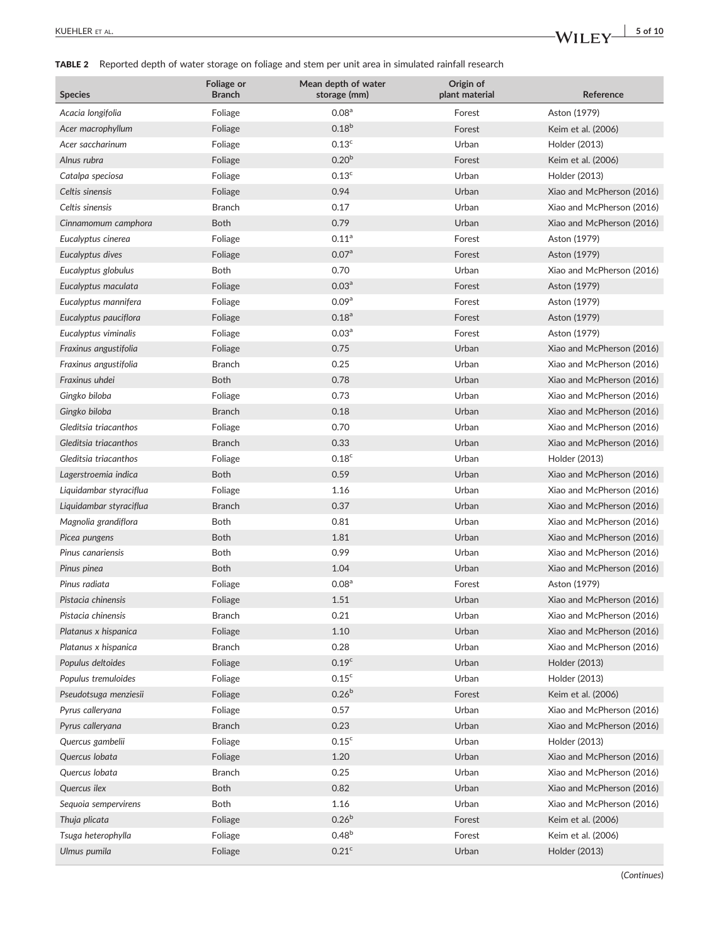TABLE 2 Reported depth of water storage and stem per unit area in stem and stem per unit area in stem per unit

| <b>Species</b>          | Foliage or<br><b>Branch</b> | Mean depth of water<br>storage (mm) | Origin of<br>plant material | Reference                 |
|-------------------------|-----------------------------|-------------------------------------|-----------------------------|---------------------------|
| Acacia longifolia       | Foliage                     | 0.08 <sup>a</sup>                   | Forest                      | Aston (1979)              |
| Acer macrophyllum       | Foliage                     | $0.18^{b}$                          | Forest                      | Keim et al. (2006)        |
| Acer saccharinum        | Foliage                     | 0.13 <sup>c</sup>                   | Urban                       | Holder (2013)             |
| Alnus rubra             | Foliage                     | 0.20 <sup>b</sup>                   | Forest                      | Keim et al. (2006)        |
| Catalpa speciosa        | Foliage                     | 0.13 <sup>c</sup>                   | Urban                       | Holder (2013)             |
| Celtis sinensis         | Foliage                     | 0.94                                | Urban                       | Xiao and McPherson (2016) |
| Celtis sinensis         | <b>Branch</b>               | 0.17                                | Urban                       | Xiao and McPherson (2016) |
| Cinnamomum camphora     | <b>Both</b>                 | 0.79                                | Urban                       | Xiao and McPherson (2016) |
| Eucalyptus cinerea      | Foliage                     | 0.11 <sup>a</sup>                   | Forest                      | Aston (1979)              |
| Eucalyptus dives        | Foliage                     | 0.07 <sup>a</sup>                   | Forest                      | Aston (1979)              |
| Eucalyptus globulus     | Both                        | 0.70                                | Urban                       | Xiao and McPherson (2016) |
| Eucalyptus maculata     | Foliage                     | 0.03 <sup>a</sup>                   | Forest                      | Aston (1979)              |
| Eucalyptus mannifera    | Foliage                     | 0.09 <sup>a</sup>                   | Forest                      | Aston (1979)              |
| Eucalyptus pauciflora   | Foliage                     | 0.18 <sup>a</sup>                   | Forest                      | Aston (1979)              |
| Eucalyptus viminalis    | Foliage                     | 0.03 <sup>a</sup>                   | Forest                      | Aston (1979)              |
| Fraxinus angustifolia   | Foliage                     | 0.75                                | Urban                       | Xiao and McPherson (2016) |
| Fraxinus angustifolia   | <b>Branch</b>               | 0.25                                | Urban                       | Xiao and McPherson (2016) |
| Fraxinus uhdei          | <b>Both</b>                 | 0.78                                | Urban                       | Xiao and McPherson (2016) |
| Gingko biloba           | Foliage                     | 0.73                                | Urban                       | Xiao and McPherson (2016) |
| Gingko biloba           | <b>Branch</b>               | 0.18                                | Urban                       | Xiao and McPherson (2016) |
| Gleditsia triacanthos   | Foliage                     | 0.70                                | Urban                       | Xiao and McPherson (2016) |
| Gleditsia triacanthos   | <b>Branch</b>               | 0.33                                | Urban                       | Xiao and McPherson (2016) |
| Gleditsia triacanthos   | Foliage                     | 0.18 <sup>c</sup>                   | Urban                       | Holder (2013)             |
| Lagerstroemia indica    | <b>Both</b>                 | 0.59                                | Urban                       | Xiao and McPherson (2016) |
| Liquidambar styraciflua | Foliage                     | 1.16                                | Urban                       | Xiao and McPherson (2016) |
| Liquidambar styraciflua | <b>Branch</b>               | 0.37                                | Urban                       | Xiao and McPherson (2016) |

Magnolia grandiflora Both 0.81 Urban Xiao and McPherson (2016) Picea pungens and Both 1.81 Urban Xiao and McPherson (2016) Pinus canariensis Both 0.99 Urban Xiao and McPherson (2016) Pinus pinea Both 1.04 Urban Xiao and McPherson (2016)

Pistacia chinensis Foliage 1.51 Urban Xiao and McPherson (2016) Pistacia chinensis Branch 0.21 Urban Xiao and McPherson (2016) Platanus x hispanica Foliage 1.10 Urban Xiao and McPherson (2016) Platanus x hispanica Branch 0.28 Urban Xiao and McPherson (2016)

Pyrus calleryana **Foliage** Foliage **1.57** Urban Xiao and McPherson (2016) Pyrus calleryana Branch 0.23 Urban Xiao and McPherson (2016)

Quercus lobata Foliage 1.20 Urban Xiao and McPherson (2016) Quercus lobata Branch 0.25 Urban Xiao and McPherson (2016) Quercus ilex Both 0.82 Urban Xiao and McPherson (2016) Sequoia sempervirens Both 1.16 Urban Xiao and McPherson (2016)

Pinus radiata and The Foliage Company of Company Company Company Company Forest Aston (1979)

Populus deltoides **Foliage** Foliage **1.19c Urban** Holder (2013) Populus tremuloides and Foliage and Contact Contact Contact Urban Holder (2013) Pseudotsuga menziesii Foliage Forest Forest Keim et al. (2006)

Quercus gambelii **Example School** Foliage **1.15c Urban** Urban Holder (2013)

Thuja plicata **Foliage** Forest Forest Forest Keim et al. (2006) Tsuga heterophylla **Foliage** Foliage **1.48b** Forest Forest Keim et al. (2006) Ulmus pumila **Example 2013** Foliage  $0.21^{\circ}$  O.21<sup>c</sup> Urban Holder (2013)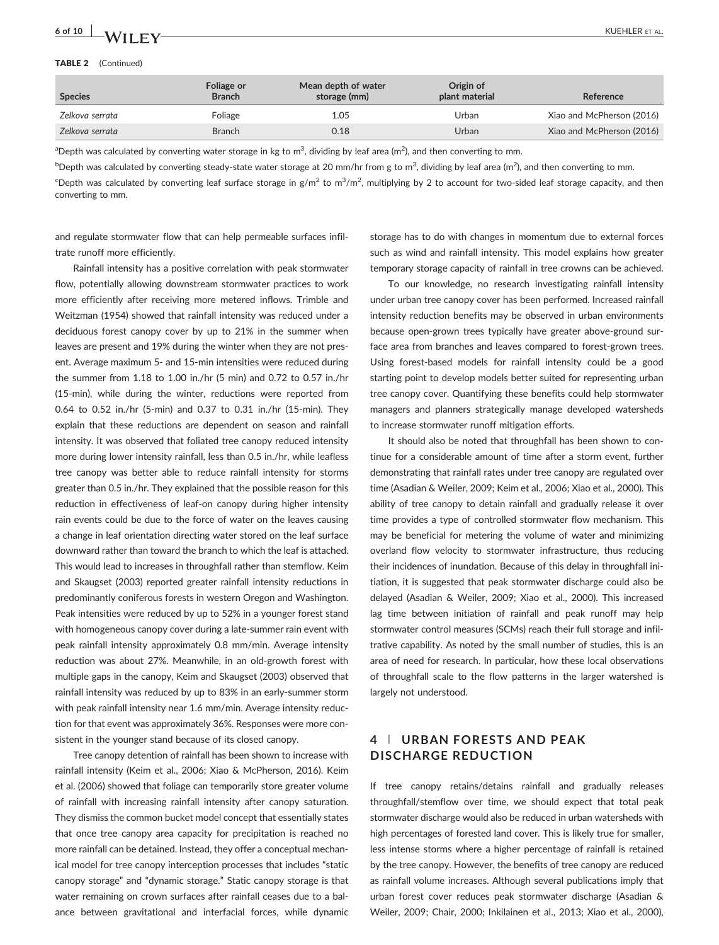## 6 of 10 NATURE TAL. IN THE RESEAL ASSEMBLY TO A LARGE TAL.

#### TABLE 2 (Continued)

| <b>Species</b>  | <b>Foliage or</b><br><b>Branch</b> | Mean depth of water<br>storage (mm) | Origin of<br>plant material | Reference                 |
|-----------------|------------------------------------|-------------------------------------|-----------------------------|---------------------------|
| Zelkova serrata | Foliage                            | 1.05                                | Urban                       | Xiao and McPherson (2016) |
| Zelkova serrata | <b>Branch</b>                      | 0.18                                | Urban                       | Xiao and McPherson (2016) |

 $^{\rm a}$ Depth was calculated by converting water storage in kg to m $^3$ , dividing by leaf area (m $^2$ ), and then converting to mm.

 $^{\rm b}$ Depth was calculated by converting steady-state water storage at 20 mm/hr from g to m $^3$ , dividing by leaf area (m $^2$ ), and then converting to mm.

 $^{\rm c}$ Depth was calculated by converting leaf surface storage in g/m<sup>2</sup> to m $^3$ /m<sup>2</sup>, multiplying by 2 to account for two-sided leaf storage capacity, and then converting to mm.

and regulate stormwater flow that can help permeable surfaces infiltrate runoff more efficiently.

Rainfall intensity has a positive correlation with peak stormwater flow, potentially allowing downstream stormwater practices to work more efficiently after receiving more metered inflows. Trimble and Weitzman (1954) showed that rainfall intensity was reduced under a deciduous forest canopy cover by up to 21% in the summer when leaves are present and 19% during the winter when they are not present. Average maximum 5‐ and 15‐min intensities were reduced during the summer from 1.18 to 1.00 in./hr (5 min) and 0.72 to 0.57 in./hr (15-min), while during the winter, reductions were reported from 0.64 to 0.52 in./hr (5‐min) and 0.37 to 0.31 in./hr (15‐min). They explain that these reductions are dependent on season and rainfall intensity. It was observed that foliated tree canopy reduced intensity more during lower intensity rainfall, less than 0.5 in./hr, while leafless tree canopy was better able to reduce rainfall intensity for storms greater than 0.5 in./hr. They explained that the possible reason for this reduction in effectiveness of leaf‐on canopy during higher intensity rain events could be due to the force of water on the leaves causing a change in leaf orientation directing water stored on the leaf surface downward rather than toward the branch to which the leaf is attached. This would lead to increases in throughfall rather than stemflow. Keim and Skaugset (2003) reported greater rainfall intensity reductions in predominantly coniferous forests in western Oregon and Washington. Peak intensities were reduced by up to 52% in a younger forest stand with homogeneous canopy cover during a late‐summer rain event with peak rainfall intensity approximately 0.8 mm/min. Average intensity reduction was about 27%. Meanwhile, in an old‐growth forest with multiple gaps in the canopy, Keim and Skaugset (2003) observed that rainfall intensity was reduced by up to 83% in an early‐summer storm with peak rainfall intensity near 1.6 mm/min. Average intensity reduction for that event was approximately 36%. Responses were more consistent in the younger stand because of its closed canopy.

Tree canopy detention of rainfall has been shown to increase with rainfall intensity (Keim et al., 2006; Xiao & McPherson, 2016). Keim et al. (2006) showed that foliage can temporarily store greater volume of rainfall with increasing rainfall intensity after canopy saturation. They dismiss the common bucket model concept that essentially states that once tree canopy area capacity for precipitation is reached no more rainfall can be detained. Instead, they offer a conceptual mechanical model for tree canopy interception processes that includes "static canopy storage" and "dynamic storage." Static canopy storage is that water remaining on crown surfaces after rainfall ceases due to a balance between gravitational and interfacial forces, while dynamic storage has to do with changes in momentum due to external forces such as wind and rainfall intensity. This model explains how greater temporary storage capacity of rainfall in tree crowns can be achieved.

To our knowledge, no research investigating rainfall intensity under urban tree canopy cover has been performed. Increased rainfall intensity reduction benefits may be observed in urban environments because open‐grown trees typically have greater above‐ground surface area from branches and leaves compared to forest-grown trees. Using forest‐based models for rainfall intensity could be a good starting point to develop models better suited for representing urban tree canopy cover. Quantifying these benefits could help stormwater managers and planners strategically manage developed watersheds to increase stormwater runoff mitigation efforts.

It should also be noted that throughfall has been shown to continue for a considerable amount of time after a storm event, further demonstrating that rainfall rates under tree canopy are regulated over time (Asadian & Weiler, 2009; Keim et al., 2006; Xiao et al., 2000). This ability of tree canopy to detain rainfall and gradually release it over time provides a type of controlled stormwater flow mechanism. This may be beneficial for metering the volume of water and minimizing overland flow velocity to stormwater infrastructure, thus reducing their incidences of inundation. Because of this delay in throughfall initiation, it is suggested that peak stormwater discharge could also be delayed (Asadian & Weiler, 2009; Xiao et al., 2000). This increased lag time between initiation of rainfall and peak runoff may help stormwater control measures (SCMs) reach their full storage and infiltrative capability. As noted by the small number of studies, this is an area of need for research. In particular, how these local observations of throughfall scale to the flow patterns in the larger watershed is largely not understood.

## 4 | URBAN FORESTS AND PEAK DISCHARGE REDUCTION

If tree canopy retains/detains rainfall and gradually releases throughfall/stemflow over time, we should expect that total peak stormwater discharge would also be reduced in urban watersheds with high percentages of forested land cover. This is likely true for smaller, less intense storms where a higher percentage of rainfall is retained by the tree canopy. However, the benefits of tree canopy are reduced as rainfall volume increases. Although several publications imply that urban forest cover reduces peak stormwater discharge (Asadian & Weiler, 2009; Chair, 2000; Inkilainen et al., 2013; Xiao et al., 2000),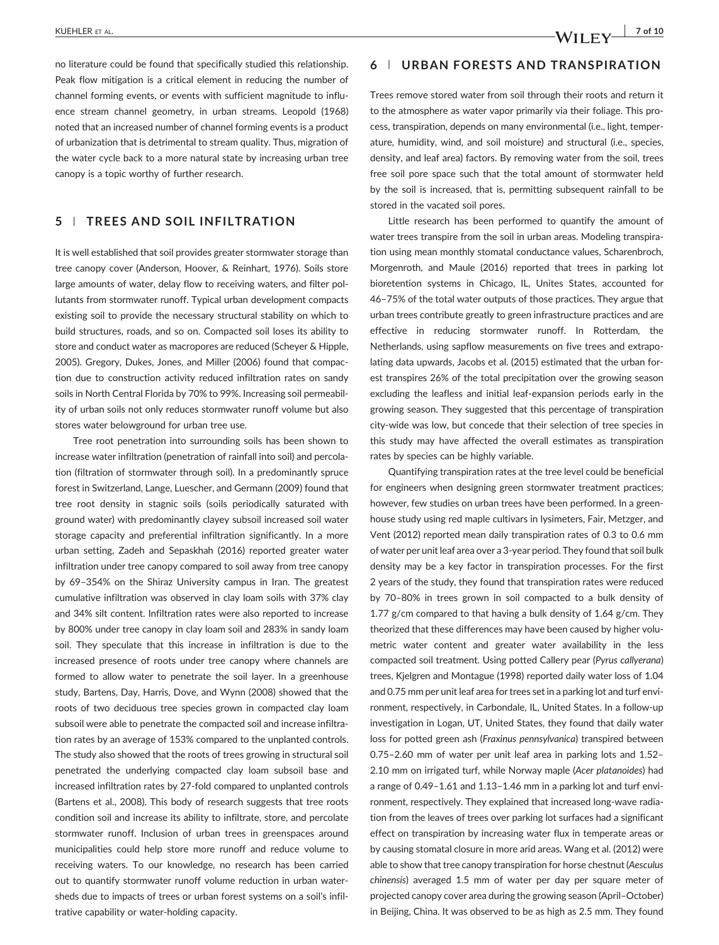no literature could be found that specifically studied this relationship. Peak flow mitigation is a critical element in reducing the number of channel forming events, or events with sufficient magnitude to influence stream channel geometry, in urban streams. Leopold (1968) noted that an increased number of channel forming events is a product of urbanization that is detrimental to stream quality. Thus, migration of the water cycle back to a more natural state by increasing urban tree canopy is a topic worthy of further research.

### 5 | TREES AND SOIL INFILTRATION

It is well established that soil provides greater stormwater storage than tree canopy cover (Anderson, Hoover, & Reinhart, 1976). Soils store large amounts of water, delay flow to receiving waters, and filter pollutants from stormwater runoff. Typical urban development compacts existing soil to provide the necessary structural stability on which to build structures, roads, and so on. Compacted soil loses its ability to store and conduct water as macropores are reduced (Scheyer & Hipple, 2005). Gregory, Dukes, Jones, and Miller (2006) found that compaction due to construction activity reduced infiltration rates on sandy soils in North Central Florida by 70% to 99%. Increasing soil permeability of urban soils not only reduces stormwater runoff volume but also stores water belowground for urban tree use.

Tree root penetration into surrounding soils has been shown to increase water infiltration (penetration of rainfall into soil) and percolation (filtration of stormwater through soil). In a predominantly spruce forest in Switzerland, Lange, Luescher, and Germann (2009) found that tree root density in stagnic soils (soils periodically saturated with ground water) with predominantly clayey subsoil increased soil water storage capacity and preferential infiltration significantly. In a more urban setting, Zadeh and Sepaskhah (2016) reported greater water infiltration under tree canopy compared to soil away from tree canopy by 69–354% on the Shiraz University campus in Iran. The greatest cumulative infiltration was observed in clay loam soils with 37% clay and 34% silt content. Infiltration rates were also reported to increase by 800% under tree canopy in clay loam soil and 283% in sandy loam soil. They speculate that this increase in infiltration is due to the increased presence of roots under tree canopy where channels are formed to allow water to penetrate the soil layer. In a greenhouse study, Bartens, Day, Harris, Dove, and Wynn (2008) showed that the roots of two deciduous tree species grown in compacted clay loam subsoil were able to penetrate the compacted soil and increase infiltration rates by an average of 153% compared to the unplanted controls. The study also showed that the roots of trees growing in structural soil penetrated the underlying compacted clay loam subsoil base and increased infiltration rates by 27‐fold compared to unplanted controls (Bartens et al., 2008). This body of research suggests that tree roots condition soil and increase its ability to infiltrate, store, and percolate stormwater runoff. Inclusion of urban trees in greenspaces around municipalities could help store more runoff and reduce volume to receiving waters. To our knowledge, no research has been carried out to quantify stormwater runoff volume reduction in urban watersheds due to impacts of trees or urban forest systems on a soil's infiltrative capability or water‐holding capacity.

### 6 | URBAN FORESTS AND TRANSPIRATION

Trees remove stored water from soil through their roots and return it to the atmosphere as water vapor primarily via their foliage. This process, transpiration, depends on many environmental (i.e., light, temperature, humidity, wind, and soil moisture) and structural (i.e., species, density, and leaf area) factors. By removing water from the soil, trees free soil pore space such that the total amount of stormwater held by the soil is increased, that is, permitting subsequent rainfall to be stored in the vacated soil pores.

Little research has been performed to quantify the amount of water trees transpire from the soil in urban areas. Modeling transpiration using mean monthly stomatal conductance values, Scharenbroch, Morgenroth, and Maule (2016) reported that trees in parking lot bioretention systems in Chicago, IL, Unites States, accounted for 46–75% of the total water outputs of those practices. They argue that urban trees contribute greatly to green infrastructure practices and are effective in reducing stormwater runoff. In Rotterdam, the Netherlands, using sapflow measurements on five trees and extrapolating data upwards, Jacobs et al. (2015) estimated that the urban forest transpires 26% of the total precipitation over the growing season excluding the leafless and initial leaf-expansion periods early in the growing season. They suggested that this percentage of transpiration city‐wide was low, but concede that their selection of tree species in this study may have affected the overall estimates as transpiration rates by species can be highly variable.

Quantifying transpiration rates at the tree level could be beneficial for engineers when designing green stormwater treatment practices; however, few studies on urban trees have been performed. In a greenhouse study using red maple cultivars in lysimeters, Fair, Metzger, and Vent (2012) reported mean daily transpiration rates of 0.3 to 0.6 mm of water per unit leaf area over a 3‐year period. They found that soil bulk density may be a key factor in transpiration processes. For the first 2 years of the study, they found that transpiration rates were reduced by 70–80% in trees grown in soil compacted to a bulk density of 1.77 g/cm compared to that having a bulk density of 1.64 g/cm. They theorized that these differences may have been caused by higher volumetric water content and greater water availability in the less compacted soil treatment. Using potted Callery pear (Pyrus callyerana) trees, Kjelgren and Montague (1998) reported daily water loss of 1.04 and 0.75 mm per unit leaf area for trees set in a parking lot and turf environment, respectively, in Carbondale, IL, United States. In a follow‐up investigation in Logan, UT, United States, they found that daily water loss for potted green ash (Fraxinus pennsylvanica) transpired between 0.75–2.60 mm of water per unit leaf area in parking lots and 1.52– 2.10 mm on irrigated turf, while Norway maple (Acer platanoides) had a range of 0.49–1.61 and 1.13–1.46 mm in a parking lot and turf environment, respectively. They explained that increased long‐wave radiation from the leaves of trees over parking lot surfaces had a significant effect on transpiration by increasing water flux in temperate areas or by causing stomatal closure in more arid areas. Wang et al. (2012) were able to show that tree canopy transpiration for horse chestnut (Aesculus chinensis) averaged 1.5 mm of water per day per square meter of projected canopy cover area during the growing season (April–October) in Beijing, China. It was observed to be as high as 2.5 mm. They found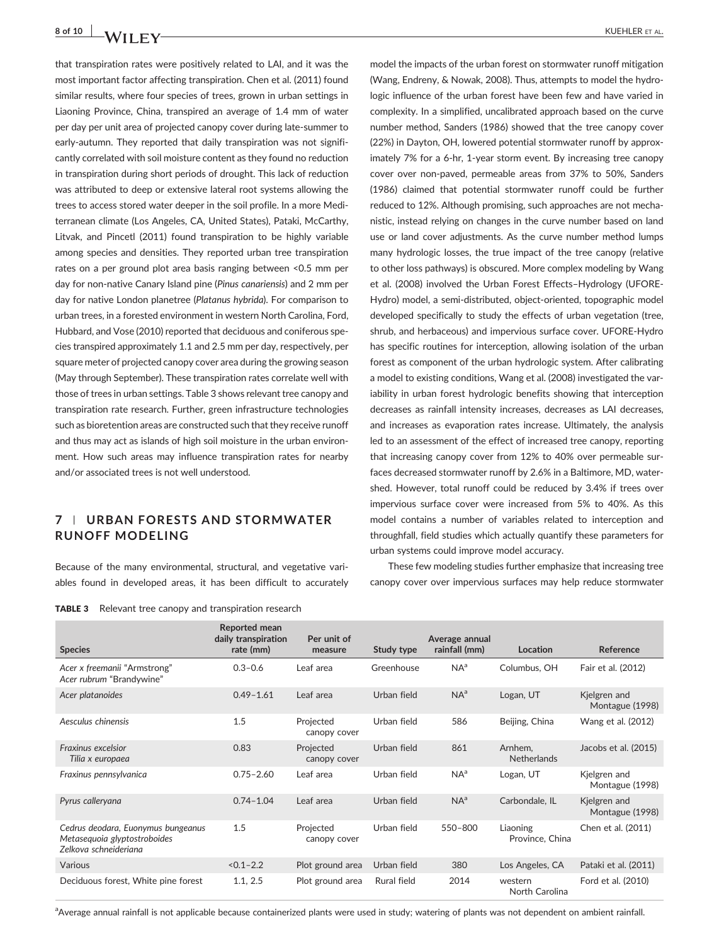that transpiration rates were positively related to LAI, and it was the most important factor affecting transpiration. Chen et al. (2011) found similar results, where four species of trees, grown in urban settings in Liaoning Province, China, transpired an average of 1.4 mm of water per day per unit area of projected canopy cover during late‐summer to early-autumn. They reported that daily transpiration was not significantly correlated with soil moisture content as they found no reduction in transpiration during short periods of drought. This lack of reduction was attributed to deep or extensive lateral root systems allowing the trees to access stored water deeper in the soil profile. In a more Mediterranean climate (Los Angeles, CA, United States), Pataki, McCarthy, Litvak, and Pincetl (2011) found transpiration to be highly variable among species and densities. They reported urban tree transpiration rates on a per ground plot area basis ranging between <0.5 mm per day for non‐native Canary Island pine (Pinus canariensis) and 2 mm per day for native London planetree (Platanus hybrida). For comparison to urban trees, in a forested environment in western North Carolina, Ford, Hubbard, and Vose (2010) reported that deciduous and coniferous species transpired approximately 1.1 and 2.5 mm per day, respectively, per square meter of projected canopy cover area during the growing season (May through September). These transpiration rates correlate well with those of trees in urban settings. Table 3 shows relevant tree canopy and transpiration rate research. Further, green infrastructure technologies such as bioretention areas are constructed such that they receive runoff and thus may act as islands of high soil moisture in the urban environment. How such areas may influence transpiration rates for nearby and/or associated trees is not well understood.

## 7 | URBAN FORESTS AND STORMWATER RUNOFF MODELING

Because of the many environmental, structural, and vegetative variables found in developed areas, it has been difficult to accurately

**TABLE 3** Relevant tree canopy and transpiration research

model the impacts of the urban forest on stormwater runoff mitigation (Wang, Endreny, & Nowak, 2008). Thus, attempts to model the hydrologic influence of the urban forest have been few and have varied in complexity. In a simplified, uncalibrated approach based on the curve number method, Sanders (1986) showed that the tree canopy cover (22%) in Dayton, OH, lowered potential stormwater runoff by approximately 7% for a 6‐hr, 1‐year storm event. By increasing tree canopy cover over non‐paved, permeable areas from 37% to 50%, Sanders (1986) claimed that potential stormwater runoff could be further reduced to 12%. Although promising, such approaches are not mechanistic, instead relying on changes in the curve number based on land use or land cover adjustments. As the curve number method lumps many hydrologic losses, the true impact of the tree canopy (relative to other loss pathways) is obscured. More complex modeling by Wang et al. (2008) involved the Urban Forest Effects–Hydrology (UFORE‐ Hydro) model, a semi-distributed, object-oriented, topographic model developed specifically to study the effects of urban vegetation (tree, shrub, and herbaceous) and impervious surface cover. UFORE‐Hydro has specific routines for interception, allowing isolation of the urban forest as component of the urban hydrologic system. After calibrating a model to existing conditions, Wang et al. (2008) investigated the variability in urban forest hydrologic benefits showing that interception decreases as rainfall intensity increases, decreases as LAI decreases, and increases as evaporation rates increase. Ultimately, the analysis led to an assessment of the effect of increased tree canopy, reporting that increasing canopy cover from 12% to 40% over permeable surfaces decreased stormwater runoff by 2.6% in a Baltimore, MD, watershed. However, total runoff could be reduced by 3.4% if trees over impervious surface cover were increased from 5% to 40%. As this model contains a number of variables related to interception and throughfall, field studies which actually quantify these parameters for urban systems could improve model accuracy.

These few modeling studies further emphasize that increasing tree canopy cover over impervious surfaces may help reduce stormwater

| <b>Species</b>                                                                              | Reported mean<br>daily transpiration<br>rate (mm) | Per unit of<br>measure    | Study type  | Average annual<br>rainfall (mm) | Location                      | Reference                       |
|---------------------------------------------------------------------------------------------|---------------------------------------------------|---------------------------|-------------|---------------------------------|-------------------------------|---------------------------------|
| Acer x freemanii "Armstrong"<br>Acer rubrum "Brandywine"                                    | $0.3 - 0.6$                                       | Leaf area                 | Greenhouse  | $NA^a$                          | Columbus, OH                  | Fair et al. (2012)              |
| Acer platanoides                                                                            | $0.49 - 1.61$                                     | Leaf area                 | Urban field | NA <sup>a</sup>                 | Logan, UT                     | Kjelgren and<br>Montague (1998) |
| Aesculus chinensis                                                                          | 1.5                                               | Projected<br>canopy cover | Urban field | 586                             | Beijing, China                | Wang et al. (2012)              |
| Fraxinus excelsior<br>Tilia x europaea                                                      | 0.83                                              | Projected<br>canopy cover | Urban field | 861                             | Arnhem.<br><b>Netherlands</b> | Jacobs et al. (2015)            |
| Fraxinus pennsylvanica                                                                      | $0.75 - 2.60$                                     | Leaf area                 | Urban field | NA <sup>a</sup>                 | Logan, UT                     | Kjelgren and<br>Montague (1998) |
| Pyrus calleryana                                                                            | $0.74 - 1.04$                                     | Leaf area                 | Urban field | NA <sup>a</sup>                 | Carbondale, IL                | Kjelgren and<br>Montague (1998) |
| Cedrus deodara, Euonymus bungeanus<br>Metasequoia glyptostroboides<br>Zelkova schneideriana | 1.5                                               | Projected<br>canopy cover | Urban field | 550-800                         | Liaoning<br>Province, China   | Chen et al. (2011)              |
| Various                                                                                     | $< 0.1 - 2.2$                                     | Plot ground area          | Urban field | 380                             | Los Angeles, CA               | Pataki et al. (2011)            |
| Deciduous forest, White pine forest                                                         | 1.1, 2.5                                          | Plot ground area          | Rural field | 2014                            | western<br>North Carolina     | Ford et al. (2010)              |

a Average annual rainfall is not applicable because containerized plants were used in study; watering of plants was not dependent on ambient rainfall.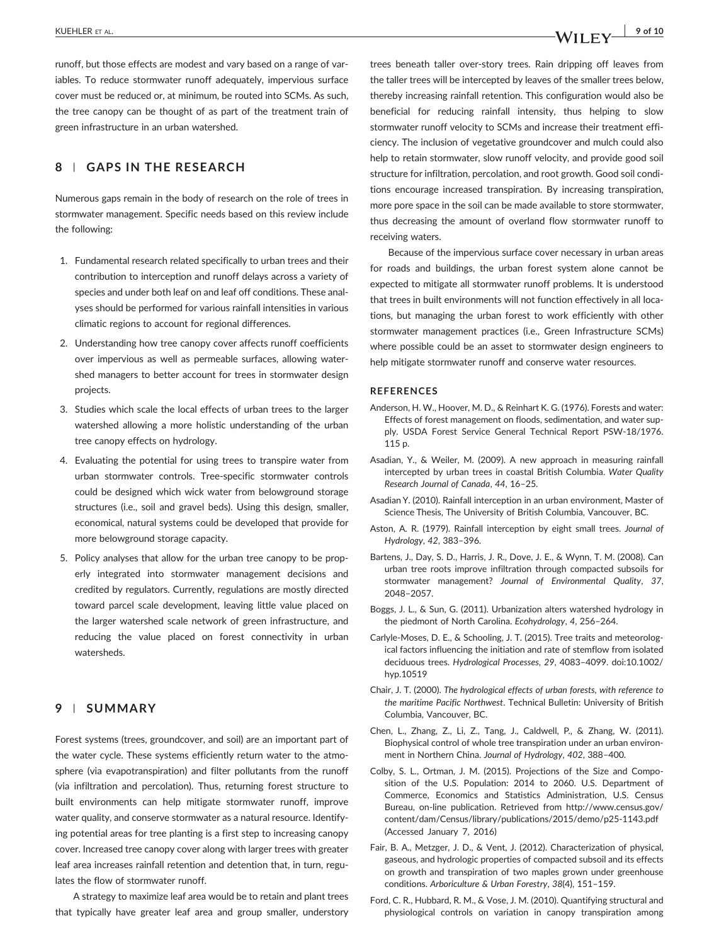runoff, but those effects are modest and vary based on a range of variables. To reduce stormwater runoff adequately, impervious surface cover must be reduced or, at minimum, be routed into SCMs. As such, the tree canopy can be thought of as part of the treatment train of green infrastructure in an urban watershed.

#### 8 | GAPS IN THE RESEARCH

Numerous gaps remain in the body of research on the role of trees in stormwater management. Specific needs based on this review include the following:

- 1. Fundamental research related specifically to urban trees and their contribution to interception and runoff delays across a variety of species and under both leaf on and leaf off conditions. These analyses should be performed for various rainfall intensities in various climatic regions to account for regional differences.
- 2. Understanding how tree canopy cover affects runoff coefficients over impervious as well as permeable surfaces, allowing watershed managers to better account for trees in stormwater design projects.
- 3. Studies which scale the local effects of urban trees to the larger watershed allowing a more holistic understanding of the urban tree canopy effects on hydrology.
- 4. Evaluating the potential for using trees to transpire water from urban stormwater controls. Tree‐specific stormwater controls could be designed which wick water from belowground storage structures (i.e., soil and gravel beds). Using this design, smaller, economical, natural systems could be developed that provide for more belowground storage capacity.
- 5. Policy analyses that allow for the urban tree canopy to be properly integrated into stormwater management decisions and credited by regulators. Currently, regulations are mostly directed toward parcel scale development, leaving little value placed on the larger watershed scale network of green infrastructure, and reducing the value placed on forest connectivity in urban watersheds.

#### 9 | SUMMARY

Forest systems (trees, groundcover, and soil) are an important part of the water cycle. These systems efficiently return water to the atmosphere (via evapotranspiration) and filter pollutants from the runoff (via infiltration and percolation). Thus, returning forest structure to built environments can help mitigate stormwater runoff, improve water quality, and conserve stormwater as a natural resource. Identifying potential areas for tree planting is a first step to increasing canopy cover. Increased tree canopy cover along with larger trees with greater leaf area increases rainfall retention and detention that, in turn, regulates the flow of stormwater runoff.

A strategy to maximize leaf area would be to retain and plant trees that typically have greater leaf area and group smaller, understory

trees beneath taller over‐story trees. Rain dripping off leaves from the taller trees will be intercepted by leaves of the smaller trees below, thereby increasing rainfall retention. This configuration would also be beneficial for reducing rainfall intensity, thus helping to slow stormwater runoff velocity to SCMs and increase their treatment efficiency. The inclusion of vegetative groundcover and mulch could also help to retain stormwater, slow runoff velocity, and provide good soil structure for infiltration, percolation, and root growth. Good soil conditions encourage increased transpiration. By increasing transpiration, more pore space in the soil can be made available to store stormwater, thus decreasing the amount of overland flow stormwater runoff to receiving waters.

Because of the impervious surface cover necessary in urban areas for roads and buildings, the urban forest system alone cannot be expected to mitigate all stormwater runoff problems. It is understood that trees in built environments will not function effectively in all locations, but managing the urban forest to work efficiently with other stormwater management practices (i.e., Green Infrastructure SCMs) where possible could be an asset to stormwater design engineers to help mitigate stormwater runoff and conserve water resources.

#### REFERENCES

- Anderson, H. W., Hoover, M. D., & Reinhart K. G. (1976). Forests and water: Effects of forest management on floods, sedimentation, and water supply. USDA Forest Service General Technical Report PSW‐18/1976. 115 p.
- Asadian, Y., & Weiler, M. (2009). A new approach in measuring rainfall intercepted by urban trees in coastal British Columbia. Water Quality Research Journal of Canada, 44, 16–25.
- Asadian Y. (2010). Rainfall interception in an urban environment, Master of Science Thesis, The University of British Columbia, Vancouver, BC.
- Aston, A. R. (1979). Rainfall interception by eight small trees. Journal of Hydrology, 42, 383–396.
- Bartens, J., Day, S. D., Harris, J. R., Dove, J. E., & Wynn, T. M. (2008). Can urban tree roots improve infiltration through compacted subsoils for stormwater management? Journal of Environmental Quality, 37, 2048–2057.
- Boggs, J. L., & Sun, G. (2011). Urbanization alters watershed hydrology in the piedmont of North Carolina. Ecohydrology, 4, 256–264.
- Carlyle‐Moses, D. E., & Schooling, J. T. (2015). Tree traits and meteorological factors influencing the initiation and rate of stemflow from isolated deciduous trees. Hydrological Processes, 29, 4083–4099. doi:[10.1002/](http://doi.org/10.1002/hyp.10519) [hyp.10519](http://doi.org/10.1002/hyp.10519)
- Chair, J. T. (2000). The hydrological effects of urban forests, with reference to the maritime Pacific Northwest. Technical Bulletin: University of British Columbia, Vancouver, BC.
- Chen, L., Zhang, Z., Li, Z., Tang, J., Caldwell, P., & Zhang, W. (2011). Biophysical control of whole tree transpiration under an urban environment in Northern China. Journal of Hydrology, 402, 388–400.
- Colby, S. L., Ortman, J. M. (2015). Projections of the Size and Composition of the U.S. Population: 2014 to 2060. U.S. Department of Commerce, Economics and Statistics Administration, U.S. Census Bureau, on‐line publication. Retrieved from [http://www.census.gov/](http://www.census.gov/content/dam/Census/library/publications/2015/demo/p25-1143.pdf) [content/dam/Census/library/publications/2015/demo/p25](http://www.census.gov/content/dam/Census/library/publications/2015/demo/p25-1143.pdf)‐1143.pdf (Accessed January 7, 2016)
- Fair, B. A., Metzger, J. D., & Vent, J. (2012). Characterization of physical, gaseous, and hydrologic properties of compacted subsoil and its effects on growth and transpiration of two maples grown under greenhouse conditions. Arboriculture & Urban Forestry, 38(4), 151–159.
- Ford, C. R., Hubbard, R. M., & Vose, J. M. (2010). Quantifying structural and physiological controls on variation in canopy transpiration among